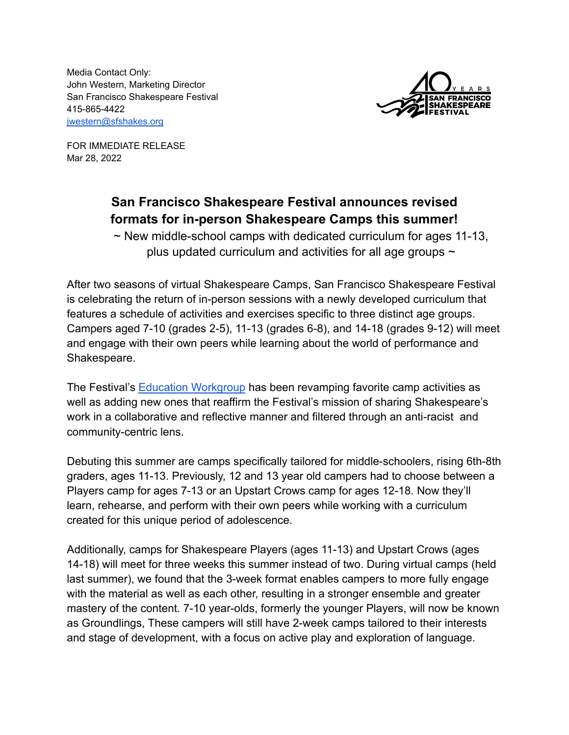Media Contact Only: John Western, Marketing Director San Francisco Shakespeare Festival 415-865-4422 [jwestern@sfshakes.org](mailto:jwestern@sfshakes.org)



FOR IMMEDIATE RELEASE Mar 28, 2022

# **San Francisco Shakespeare Festival announces revised formats for in-person Shakespeare Camps this summer!**

 $\sim$  New middle-school camps with dedicated curriculum for ages 11-13, plus updated curriculum and activities for all age groups  $\sim$ 

After two seasons of virtual Shakespeare Camps, San Francisco Shakespeare Festival is celebrating the return of in-person sessions with a newly developed curriculum that features a schedule of activities and exercises specific to three distinct age groups. Campers aged 7-10 (grades 2-5), 11-13 (grades 6-8), and 14-18 (grades 9-12) will meet and engage with their own peers while learning about the world of performance and Shakespeare.

The Festival's [Education Workgroup](http://www.sfshakes.org/about-us/education-workgroup) has been revamping favorite camp activities as well as adding new ones that reaffirm the Festival's mission of sharing Shakespeare's work in a collaborative and reflective manner and filtered through an anti-racist and community-centric lens.

Debuting this summer are camps specifically tailored for middle-schoolers, rising 6th-8th graders, ages 11-13. Previously, 12 and 13 year old campers had to choose between a Players camp for ages 7-13 or an Upstart Crows camp for ages 12-18. Now they'll learn, rehearse, and perform with their own peers while working with a curriculum created for this unique period of adolescence.

Additionally, camps for Shakespeare Players (ages 11-13) and Upstart Crows (ages 14-18) will meet for three weeks this summer instead of two. During virtual camps (held last summer), we found that the 3-week format enables campers to more fully engage with the material as well as each other, resulting in a stronger ensemble and greater mastery of the content. 7-10 year-olds, formerly the younger Players, will now be known as Groundlings, These campers will still have 2-week camps tailored to their interests and stage of development, with a focus on active play and exploration of language.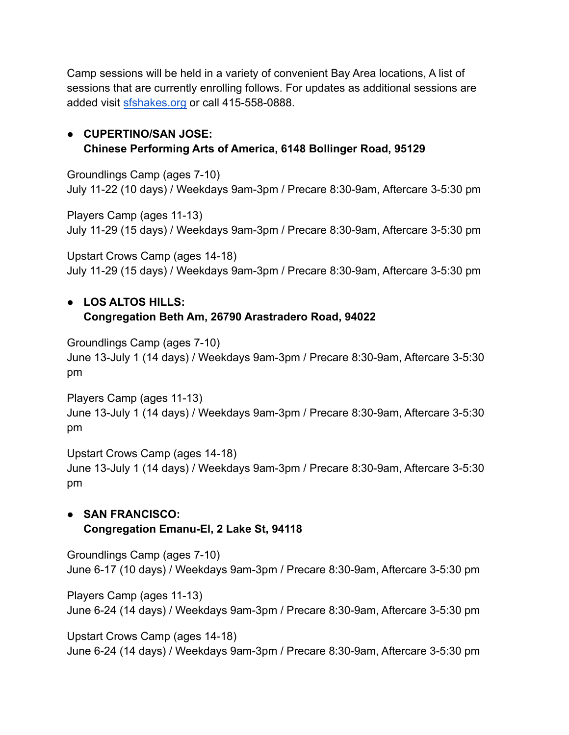Camp sessions will be held in a variety of convenient Bay Area locations, A list of sessions that are currently enrolling follows. For updates as additional sessions are added visit [sfshakes.org](http://www.sfshakes.org/education/bay-area-shakespeare-camps) or call 415-558-0888.

# ● **CUPERTINO/SAN JOSE: Chinese Performing Arts of America, 6148 Bollinger Road, 95129**

Groundlings Camp (ages 7-10) July 11-22 (10 days) / Weekdays 9am-3pm / Precare 8:30-9am, Aftercare 3-5:30 pm

Players Camp (ages 11-13) July 11-29 (15 days) / Weekdays 9am-3pm / Precare 8:30-9am, Aftercare 3-5:30 pm

Upstart Crows Camp (ages 14-18) July 11-29 (15 days) / Weekdays 9am-3pm / Precare 8:30-9am, Aftercare 3-5:30 pm

# ● **LOS ALTOS HILLS: Congregation Beth Am, 26790 Arastradero Road, 94022**

Groundlings Camp (ages 7-10) June 13-July 1 (14 days) / Weekdays 9am-3pm / Precare 8:30-9am, Aftercare 3-5:30 pm

Players Camp (ages 11-13) June 13-July 1 (14 days) / Weekdays 9am-3pm / Precare 8:30-9am, Aftercare 3-5:30 pm

Upstart Crows Camp (ages 14-18) June 13-July 1 (14 days) / Weekdays 9am-3pm / Precare 8:30-9am, Aftercare 3-5:30 pm

# **● SAN FRANCISCO: Congregation Emanu-El, 2 Lake St, 94118**

Groundlings Camp (ages 7-10) June 6-17 (10 days) / Weekdays 9am-3pm / Precare 8:30-9am, Aftercare 3-5:30 pm

Players Camp (ages 11-13) June 6-24 (14 days) / Weekdays 9am-3pm / Precare 8:30-9am, Aftercare 3-5:30 pm

Upstart Crows Camp (ages 14-18) June 6-24 (14 days) / Weekdays 9am-3pm / Precare 8:30-9am, Aftercare 3-5:30 pm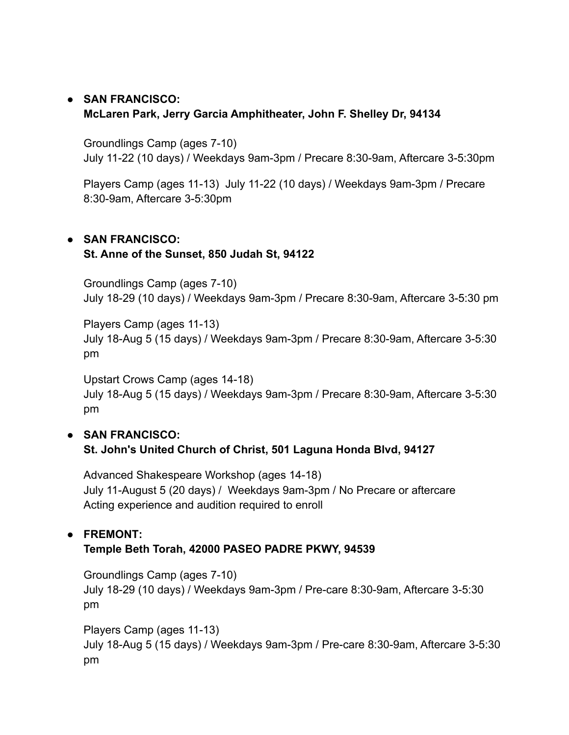## ● **SAN FRANCISCO: McLaren Park, Jerry Garcia Amphitheater, John F. Shelley Dr, 94134**

Groundlings Camp (ages 7-10) July 11-22 (10 days) / Weekdays 9am-3pm / Precare 8:30-9am, Aftercare 3-5:30pm

Players Camp (ages 11-13) July 11-22 (10 days) / Weekdays 9am-3pm / Precare 8:30-9am, Aftercare 3-5:30pm

#### ● **SAN FRANCISCO:**

### **St. Anne of the Sunset, 850 Judah St, 94122**

Groundlings Camp (ages 7-10) July 18-29 (10 days) / Weekdays 9am-3pm / Precare 8:30-9am, Aftercare 3-5:30 pm

Players Camp (ages 11-13) July 18-Aug 5 (15 days) / Weekdays 9am-3pm / Precare 8:30-9am, Aftercare 3-5:30 pm

Upstart Crows Camp (ages 14-18) July 18-Aug 5 (15 days) / Weekdays 9am-3pm / Precare 8:30-9am, Aftercare 3-5:30 pm

#### ● **SAN FRANCISCO:**

**St. John's United Church of Christ, 501 Laguna Honda Blvd, 94127**

Advanced Shakespeare Workshop (ages 14-18) July 11-August 5 (20 days) / Weekdays 9am-3pm / No Precare or aftercare Acting experience and audition required to enroll

# **● FREMONT:**

# **Temple Beth Torah, 42000 PASEO PADRE PKWY, 94539**

Groundlings Camp (ages 7-10) July 18-29 (10 days) / Weekdays 9am-3pm / Pre-care 8:30-9am, Aftercare 3-5:30 pm

Players Camp (ages 11-13) July 18-Aug 5 (15 days) / Weekdays 9am-3pm / Pre-care 8:30-9am, Aftercare 3-5:30 pm